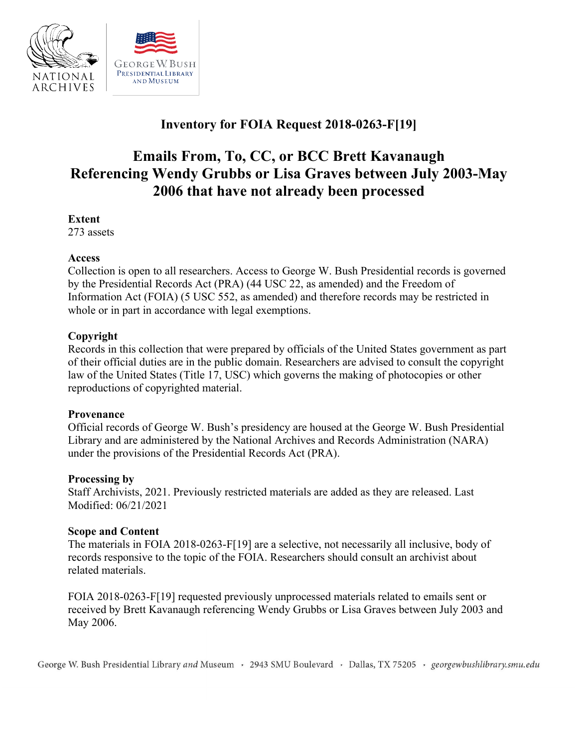

# **Inventory for FOIA Request 2018-0263-F[19]**

# **Emails From, To, CC, or BCC Brett Kavanaugh 2006 that have not already been processed Referencing Wendy Grubbs or Lisa Graves between July 2003-May**

#### **Extent**

273 assets

#### **Access**

Collection is open to all researchers. Access to George W. Bush Presidential records is governed by the Presidential Records Act (PRA) (44 USC 22, as amended) and the Freedom of Information Act (FOIA) (5 USC 552, as amended) and therefore records may be restricted in whole or in part in accordance with legal exemptions.

# **Copyright**

Records in this collection that were prepared by officials of the United States government as part of their official duties are in the public domain. Researchers are advised to consult the copyright law of the United States (Title 17, USC) which governs the making of photocopies or other reproductions of copyrighted material.

# **Provenance**

 Official records of George W. Bush's presidency are housed at the George W. Bush Presidential Library and are administered by the National Archives and Records Administration (NARA) under the provisions of the Presidential Records Act (PRA).

#### **Processing by**

Staff Archivists, 2021. Previously restricted materials are added as they are released. Last Modified: 06/21/2021

# **Scope and Content**

 The materials in FOIA 2018-0263-F[19] are a selective, not necessarily all inclusive, body of records responsive to the topic of the FOIA. Researchers should consult an archivist about related materials.

 FOIA 2018-0263-F[19] requested previously unprocessed materials related to emails sent or received by Brett Kavanaugh referencing Wendy Grubbs or Lisa Graves between July 2003 and May 2006.

George W. Bush Presidential Library *and* Museum , 2943 SMU Boulevard , Dallas, TX 75205 , *georgewbushlibrary.smu.edu*